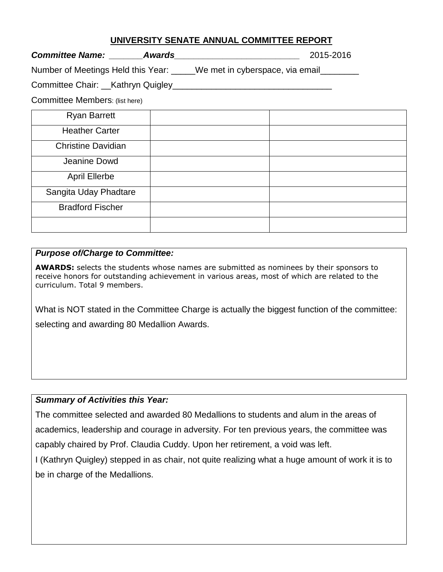#### **UNIVERSITY SENATE ANNUAL COMMITTEE REPORT**

*Committee Name: \_\_\_\_\_\_\_Awards\_\_\_\_\_\_\_\_\_\_\_\_\_\_\_\_\_\_\_\_\_\_\_\_\_\_* 2015-2016

Number of Meetings Held this Year: \_\_\_\_\_We met in cyberspace, via email\_\_\_\_\_\_\_\_

### Committee Chair: \_\_Kathryn Quigley\_\_\_\_\_\_\_\_\_\_\_\_\_\_\_\_\_\_\_\_\_\_\_\_\_\_\_\_\_\_\_\_\_

Committee Members: (list here)

| <b>Ryan Barrett</b>       |  |
|---------------------------|--|
| <b>Heather Carter</b>     |  |
| <b>Christine Davidian</b> |  |
| Jeanine Dowd              |  |
| <b>April Ellerbe</b>      |  |
| Sangita Uday Phadtare     |  |
| <b>Bradford Fischer</b>   |  |
|                           |  |

#### *Purpose of/Charge to Committee:*

**AWARDS:** selects the students whose names are submitted as nominees by their sponsors to receive honors for outstanding achievement in various areas, most of which are related to the curriculum. Total 9 members.

What is NOT stated in the Committee Charge is actually the biggest function of the committee: selecting and awarding 80 Medallion Awards.

## *Summary of Activities this Year:*

The committee selected and awarded 80 Medallions to students and alum in the areas of academics, leadership and courage in adversity. For ten previous years, the committee was capably chaired by Prof. Claudia Cuddy. Upon her retirement, a void was left.

I (Kathryn Quigley) stepped in as chair, not quite realizing what a huge amount of work it is to be in charge of the Medallions.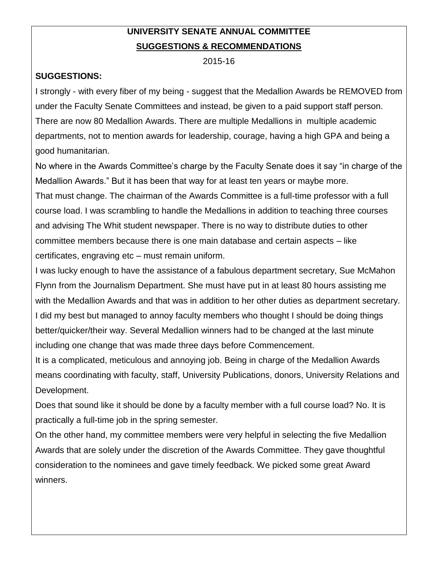# **UNIVERSITY SENATE ANNUAL COMMITTEE SUGGESTIONS & RECOMMENDATIONS**

2015-16

# **SUGGESTIONS:**

I strongly - with every fiber of my being - suggest that the Medallion Awards be REMOVED from under the Faculty Senate Committees and instead, be given to a paid support staff person. There are now 80 Medallion Awards. There are multiple Medallions in multiple academic departments, not to mention awards for leadership, courage, having a high GPA and being a good humanitarian.

No where in the Awards Committee's charge by the Faculty Senate does it say "in charge of the Medallion Awards." But it has been that way for at least ten years or maybe more.

That must change. The chairman of the Awards Committee is a full-time professor with a full course load. I was scrambling to handle the Medallions in addition to teaching three courses and advising The Whit student newspaper. There is no way to distribute duties to other committee members because there is one main database and certain aspects – like certificates, engraving etc – must remain uniform.

I was lucky enough to have the assistance of a fabulous department secretary, Sue McMahon Flynn from the Journalism Department. She must have put in at least 80 hours assisting me with the Medallion Awards and that was in addition to her other duties as department secretary. I did my best but managed to annoy faculty members who thought I should be doing things better/quicker/their way. Several Medallion winners had to be changed at the last minute including one change that was made three days before Commencement.

It is a complicated, meticulous and annoying job. Being in charge of the Medallion Awards means coordinating with faculty, staff, University Publications, donors, University Relations and Development.

Does that sound like it should be done by a faculty member with a full course load? No. It is practically a full-time job in the spring semester.

On the other hand, my committee members were very helpful in selecting the five Medallion Awards that are solely under the discretion of the Awards Committee. They gave thoughtful consideration to the nominees and gave timely feedback. We picked some great Award winners.